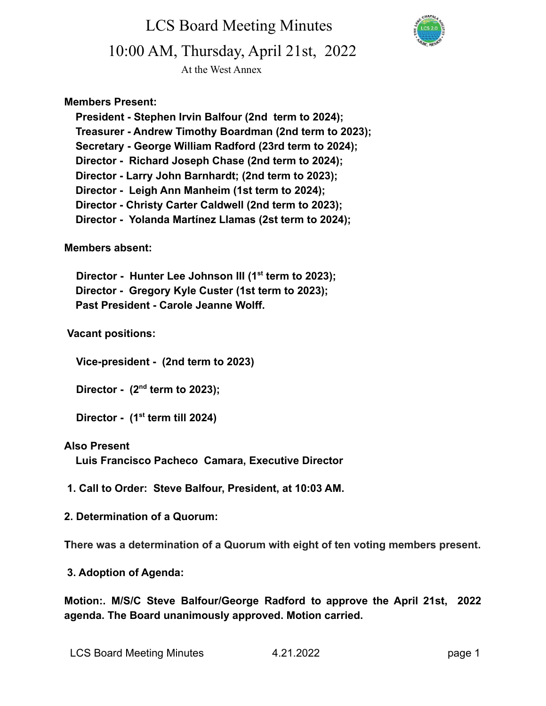LCS Board Meeting Minutes 10:00 AM, Thursday, April 21st, 2022

At the West Annex

### **Members Present:**

**President - Stephen Irvin Balfour (2nd term to 2024); Treasurer - Andrew Timothy Boardman (2nd term to 2023); Secretary - George William Radford (23rd term to 2024); Director - Richard Joseph Chase (2nd term to 2024); Director - Larry John Barnhardt; (2nd term to 2023); Director - Leigh Ann Manheim (1st term to 2024); Director - Christy Carter Caldwell (2nd term to 2023); Director - Yolanda Martínez Llamas (2st term to 2024);**

### **Members absent:**

**Director - Hunter Lee Johnson III (1st term to 2023); Director - Gregory Kyle Custer (1st term to 2023); Past President - Carole Jeanne Wolff.**

### **Vacant positions:**

**Vice-president - (2nd term to 2023)**

**Director - (2nd term to 2023);**

**Director - (1st term till 2024)**

#### **Also Present**

**Luis Francisco Pacheco Camara, Executive Director**

**1. Call to Order: Steve Balfour, President, at 10:03 AM.**

#### **2. Determination of a Quorum:**

**There was a determination of a Quorum with eight of ten voting members present.**

**3. Adoption of Agenda:**

**Motion:. M/S/C Steve Balfour/George Radford to approve the April 21st, 2022 agenda. The Board unanimously approved. Motion carried.**